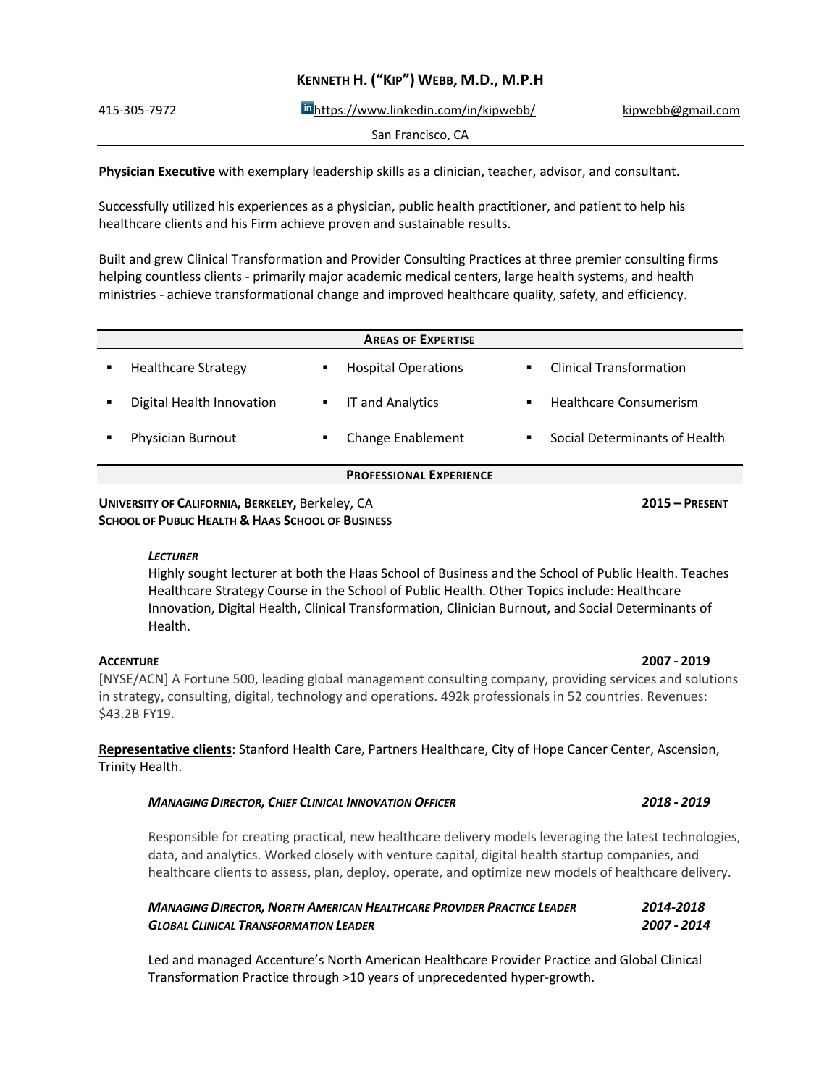| INCINING ITTLE IS INTERFERING INTO A THEFT THE TELEVISION OF THE TELEVISION OF THE TELEVISION OF THE TELEVISION OF THE TELEVISION OF THE TELEVISION OF THE TELEVISION OF THE TELEVISION OF THE TELEVISION OF THE TELEVISION O |                   |
|-------------------------------------------------------------------------------------------------------------------------------------------------------------------------------------------------------------------------------|-------------------|
| Inhttps://www.linkedin.com/in/kipwebb/                                                                                                                                                                                        | kipwebb@gmail.com |
| San Francisco, CA                                                                                                                                                                                                             |                   |
|                                                                                                                                                                                                                               |                   |

**KENNETH H. ("KIP") WEBB, M.D., M.P.H**

**Physician Executive** with exemplary leadership skills as a clinician, teacher, advisor, and consultant.

Successfully utilized his experiences as a physician, public health practitioner, and patient to help his healthcare clients and his Firm achieve proven and sustainable results.

Built and grew Clinical Transformation and Provider Consulting Practices at three premier consulting firms helping countless clients - primarily major academic medical centers, large health systems, and health ministries - achieve transformational change and improved healthcare quality, safety, and efficiency.

|   |                            |   | <b>AREAS OF EXPERTISE</b>      |   |                                |
|---|----------------------------|---|--------------------------------|---|--------------------------------|
| ٠ | <b>Healthcare Strategy</b> | ٠ | <b>Hospital Operations</b>     |   | <b>Clinical Transformation</b> |
|   | Digital Health Innovation  | ٠ | <b>IT and Analytics</b>        | ٠ | Healthcare Consumerism         |
|   | Physician Burnout          | ٠ | Change Enablement              | ٠ | Social Determinants of Health  |
|   |                            |   | <b>PROFESSIONAL EXPERIENCE</b> |   |                                |

## **UNIVERSITY OF CALIFORNIA, BERKELEY,** Berkeley, CA **2015 – PRESENT SCHOOL OF PUBLIC HEALTH & HAAS SCHOOL OF BUSINESS**

# *LECTURER*

Highly sought lecturer at both the Haas School of Business and the School of Public Health. Teaches Healthcare Strategy Course in the School of Public Health. Other Topics include: Healthcare Innovation, Digital Health, Clinical Transformation, Clinician Burnout, and Social Determinants of Health.

[NYSE/ACN] A Fortune 500, leading global management consulting company, providing services and solutions in strategy, consulting, digital, technology and operations. 492k professionals in 52 countries. Revenues: \$43.2B FY19.

**Representative clients**: Stanford Health Care, Partners Healthcare, City of Hope Cancer Center, Ascension, Trinity Health.

# *MANAGING DIRECTOR, CHIEF CLINICAL INNOVATION OFFICER 2018 - 2019*

Responsible for creating practical, new healthcare delivery models leveraging the latest technologies, data, and analytics. Worked closely with venture capital, digital health startup companies, and healthcare clients to assess, plan, deploy, operate, and optimize new models of healthcare delivery.

| <b>MANAGING DIRECTOR, NORTH AMERICAN HEALTHCARE PROVIDER PRACTICE LEADER</b> | 2014-2018   |
|------------------------------------------------------------------------------|-------------|
| <b>GLOBAL CLINICAL TRANSFORMATION LEADER</b>                                 | 2007 - 2014 |

Led and managed Accenture's North American Healthcare Provider Practice and Global Clinical Transformation Practice through >10 years of unprecedented hyper-growth.

## **ACCENTURE 2007 - 2019**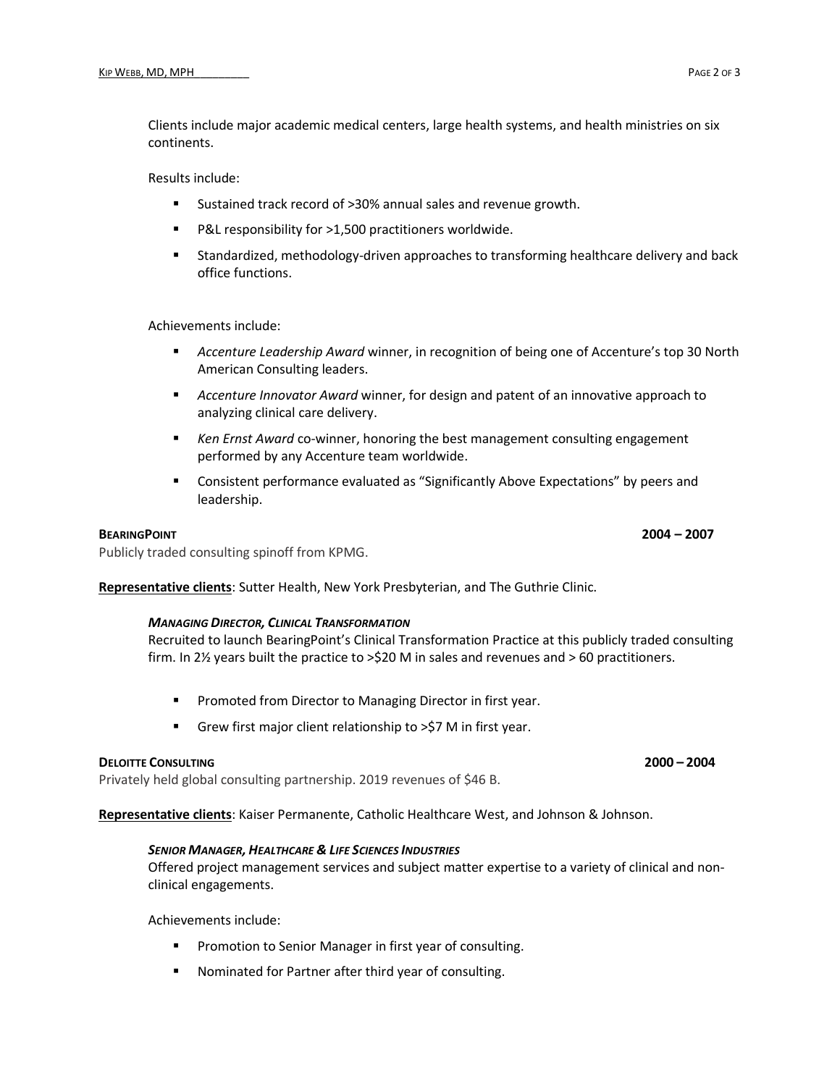Clients include major academic medical centers, large health systems, and health ministries on six continents.

Results include:

- Sustained track record of >30% annual sales and revenue growth.
- P&L responsibility for >1,500 practitioners worldwide.
- Standardized, methodology-driven approaches to transforming healthcare delivery and back office functions.

Achievements include:

- *Accenture Leadership Award* winner, in recognition of being one of Accenture's top 30 North American Consulting leaders.
- **EXP** *Accenture Innovator Award* winner, for design and patent of an innovative approach to analyzing clinical care delivery.
- *Ken Ernst Award* co-winner, honoring the best management consulting engagement performed by any Accenture team worldwide.
- **EXECONSTANCE EXAMPLE 2015 CONSTANCE 2015** Consistent performance evaluated as "Significantly Above Expectations" by peers and leadership.

# **BEARINGPOINT 2004 – 2007**

Publicly traded consulting spinoff from KPMG.

**Representative clients**: Sutter Health, New York Presbyterian, and The Guthrie Clinic.

### *MANAGING DIRECTOR, CLINICAL TRANSFORMATION*

Recruited to launch BearingPoint's Clinical Transformation Practice at this publicly traded consulting firm. In 2½ years built the practice to >\$20 M in sales and revenues and > 60 practitioners.

- Promoted from Director to Managing Director in first year.
- Grew first major client relationship to >\$7 M in first year.

# **DELOITTE CONSULTING 2000 – 2004**

Privately held global consulting partnership. 2019 revenues of \$46 B.

**Representative clients**: Kaiser Permanente, Catholic Healthcare West, and Johnson & Johnson.

### *SENIOR MANAGER, HEALTHCARE & LIFE SCIENCES INDUSTRIES*

Offered project management services and subject matter expertise to a variety of clinical and nonclinical engagements.

Achievements include:

- Promotion to Senior Manager in first year of consulting.
- Nominated for Partner after third year of consulting.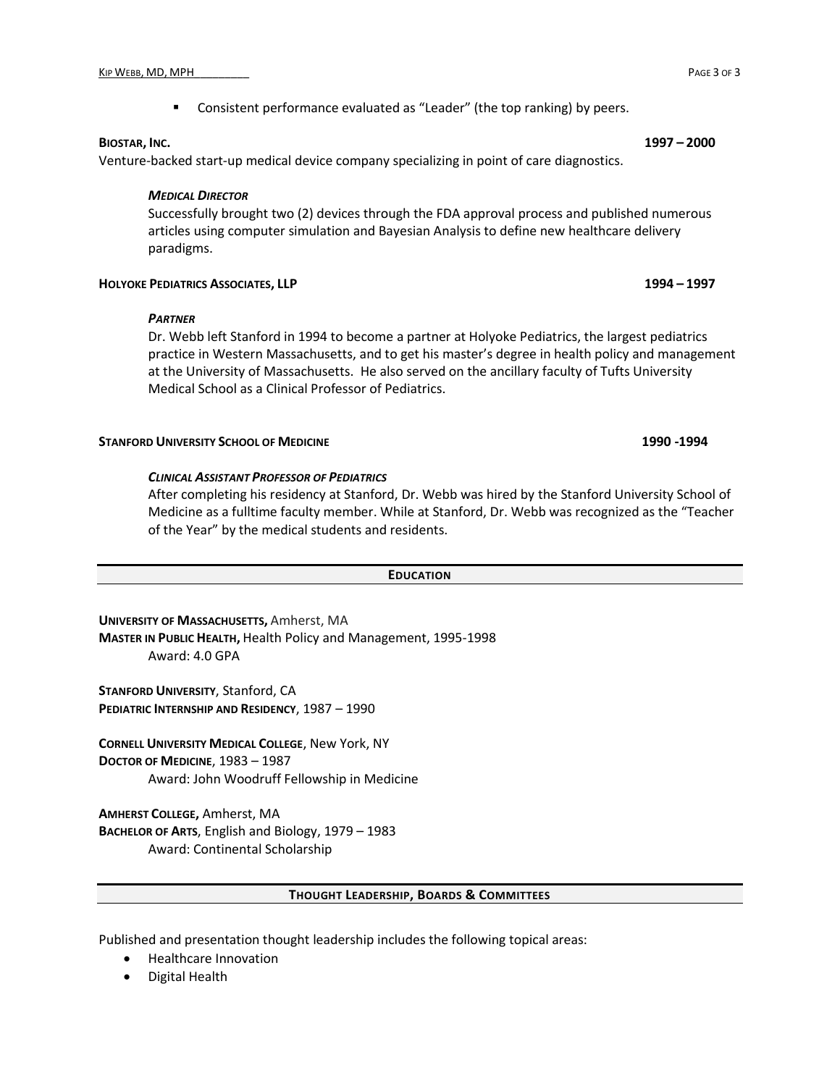Venture-backed start-up medical device company specializing in point of care diagnostics.

## *MEDICAL DIRECTOR*

Successfully brought two (2) devices through the FDA approval process and published numerous articles using computer simulation and Bayesian Analysis to define new healthcare delivery paradigms.

## **HOLYOKE PEDIATRICS ASSOCIATES, LLP 1994 – 1997**

### *PARTNER*

Dr. Webb left Stanford in 1994 to become a partner at Holyoke Pediatrics, the largest pediatrics practice in Western Massachusetts, and to get his master's degree in health policy and management at the University of Massachusetts. He also served on the ancillary faculty of Tufts University Medical School as a Clinical Professor of Pediatrics.

## **STANFORD UNIVERSITY SCHOOL OF MEDICINE 1990 -1994**

# *CLINICAL ASSISTANT PROFESSOR OF PEDIATRICS*

After completing his residency at Stanford, Dr. Webb was hired by the Stanford University School of Medicine as a fulltime faculty member. While at Stanford, Dr. Webb was recognized as the "Teacher of the Year" by the medical students and residents.

### **EDUCATION**

**UNIVERSITY OF MASSACHUSETTS,** Amherst, MA **MASTER IN PUBLIC HEALTH,** Health Policy and Management, 1995-1998 Award: 4.0 GPA

**STANFORD UNIVERSITY**, Stanford, CA **PEDIATRIC INTERNSHIP AND RESIDENCY**, 1987 – 1990

**CORNELL UNIVERSITY MEDICAL COLLEGE**, New York, NY **DOCTOR OF MEDICINE**, 1983 – 1987 Award: John Woodruff Fellowship in Medicine

**AMHERST COLLEGE,** Amherst, MA **BACHELOR OF ARTS**, English and Biology, 1979 – 1983 Award: Continental Scholarship

### **THOUGHT LEADERSHIP, BOARDS & COMMITTEES**

Published and presentation thought leadership includes the following topical areas:

- Healthcare Innovation
- Digital Health

**BIOSTAR, INC. 1997 – 2000**